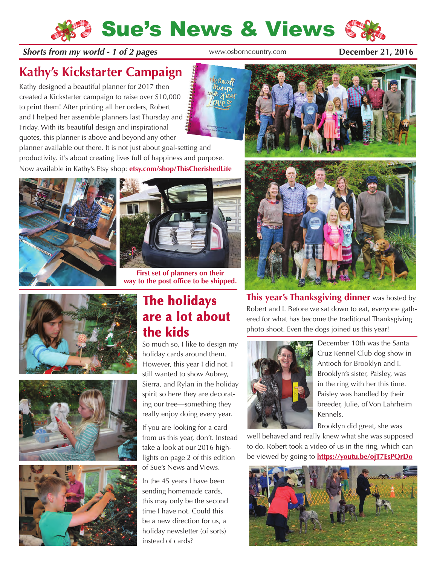## Sue's News & Views

#### **Shorts from my world - 1 of 2 pages** [www.osborncountry.com](http://www.osborncountry.com) **December 21, 2016**

**Kathy's Kickstarter Campaign**

Kathy designed a beautiful planner for 2017 then created a Kickstarter campaign to raise over \$10,000 to print them! After printing all her orders, Robert and I helped her assemble planners last Thursday and Friday. With its beautiful design and inspirational quotes, this planner is above and beyond any other



planner available out there. It is not just about goal-setting and productivity, it's about creating lives full of happiness and purpose. Now available in Kathy's Etsy shop: **[etsy.com/shop/ThisCherishedLife](https://www.etsy.com/shop/ThisCherishedLife)**





**First set of planners on their way to the post office to be shipped.**







#### **The holidays are a lot about the kids**

So much so, I like to design my holiday cards around them. However, this year I did not. I still wanted to show Aubrey, Sierra, and Rylan in the holiday spirit so here they are decorating our tree—something they really enjoy doing every year.

If you are looking for a card from us this year, don't. Instead take a look at our 2016 highlights on page 2 of this edition of Sue's News and Views.

In the 45 years I have been sending homemade cards, this may only be the second time I have not. Could this be a new direction for us, a holiday newsletter (of sorts) instead of cards?





**This year's Thanksgiving dinner** was hosted by Robert and I. Before we sat down to eat, everyone gathered for what has become the traditional Thanksgiving photo shoot. Even the dogs joined us this year!



December 10th was the Santa Cruz Kennel Club dog show in Antioch for Brooklyn and I. Brooklyn's sister, Paisley, was in the ring with her this time. Paisley was handled by their breeder, Julie, of Von Lahrheim Kennels.

Brooklyn did great, she was

well behaved and really knew what she was supposed to do. Robert took a video of us in the ring, which can be viewed by going to **<https://youtu.be/ojT7EsPQrDo>**